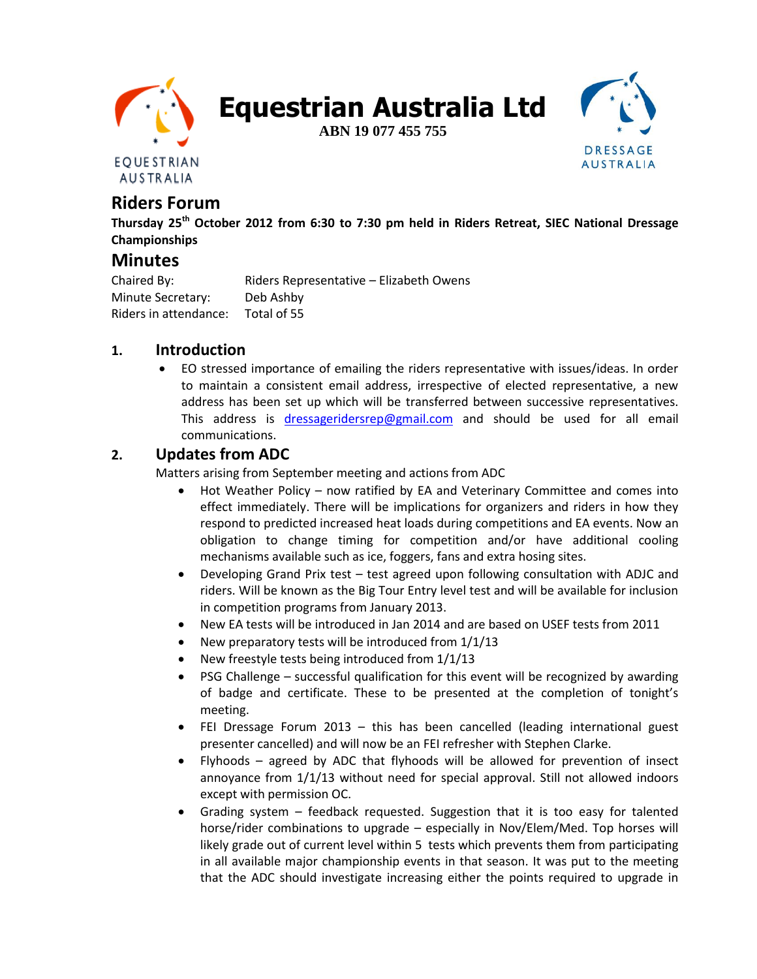

**Equestrian Australia Ltd**

**ABN 19 077 455 755**



# **Riders Forum**

**Thursday 25th October 2012 from 6:30 to 7:30 pm held in Riders Retreat, SIEC National Dressage Championships**

# **Minutes**

Chaired By: Riders Representative – Elizabeth Owens Minute Secretary: Deb Ashby Riders in attendance: Total of 55

#### **1. Introduction**

 EO stressed importance of emailing the riders representative with issues/ideas. In order to maintain a consistent email address, irrespective of elected representative, a new address has been set up which will be transferred between successive representatives. This address is [dressageridersrep@gmail.com](mailto:dressageridersrep@gmail.com) and should be used for all email communications.

# **2. Updates from ADC**

Matters arising from September meeting and actions from ADC

- Hot Weather Policy now ratified by EA and Veterinary Committee and comes into effect immediately. There will be implications for organizers and riders in how they respond to predicted increased heat loads during competitions and EA events. Now an obligation to change timing for competition and/or have additional cooling mechanisms available such as ice, foggers, fans and extra hosing sites.
- Developing Grand Prix test test agreed upon following consultation with ADJC and riders. Will be known as the Big Tour Entry level test and will be available for inclusion in competition programs from January 2013.
- New EA tests will be introduced in Jan 2014 and are based on USEF tests from 2011
- New preparatory tests will be introduced from 1/1/13
- New freestyle tests being introduced from 1/1/13
- PSG Challenge successful qualification for this event will be recognized by awarding of badge and certificate. These to be presented at the completion of tonight's meeting.
- FEI Dressage Forum 2013 this has been cancelled (leading international guest presenter cancelled) and will now be an FEI refresher with Stephen Clarke.
- Flyhoods agreed by ADC that flyhoods will be allowed for prevention of insect annoyance from 1/1/13 without need for special approval. Still not allowed indoors except with permission OC.
- Grading system feedback requested. Suggestion that it is too easy for talented horse/rider combinations to upgrade – especially in Nov/Elem/Med. Top horses will likely grade out of current level within 5 tests which prevents them from participating in all available major championship events in that season. It was put to the meeting that the ADC should investigate increasing either the points required to upgrade in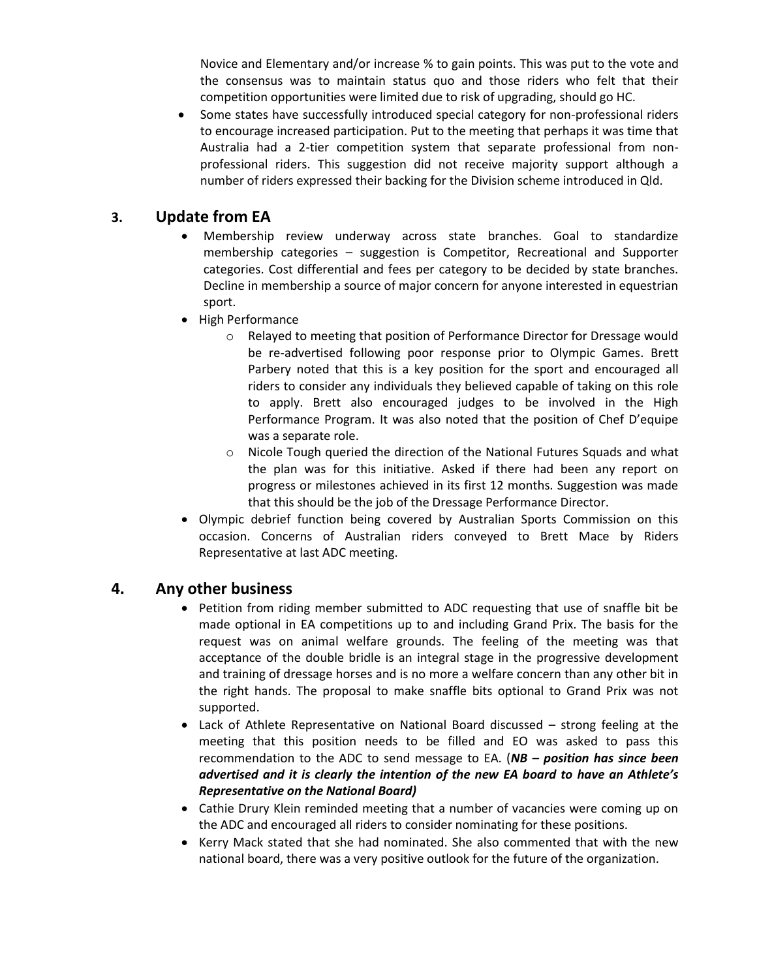Novice and Elementary and/or increase % to gain points. This was put to the vote and the consensus was to maintain status quo and those riders who felt that their competition opportunities were limited due to risk of upgrading, should go HC.

 Some states have successfully introduced special category for non-professional riders to encourage increased participation. Put to the meeting that perhaps it was time that Australia had a 2-tier competition system that separate professional from nonprofessional riders. This suggestion did not receive majority support although a number of riders expressed their backing for the Division scheme introduced in Qld.

## **3. Update from EA**

- Membership review underway across state branches. Goal to standardize membership categories – suggestion is Competitor, Recreational and Supporter categories. Cost differential and fees per category to be decided by state branches. Decline in membership a source of major concern for anyone interested in equestrian sport.
- High Performance
	- o Relayed to meeting that position of Performance Director for Dressage would be re-advertised following poor response prior to Olympic Games. Brett Parbery noted that this is a key position for the sport and encouraged all riders to consider any individuals they believed capable of taking on this role to apply. Brett also encouraged judges to be involved in the High Performance Program. It was also noted that the position of Chef D'equipe was a separate role.
	- o Nicole Tough queried the direction of the National Futures Squads and what the plan was for this initiative. Asked if there had been any report on progress or milestones achieved in its first 12 months. Suggestion was made that this should be the job of the Dressage Performance Director.
- Olympic debrief function being covered by Australian Sports Commission on this occasion. Concerns of Australian riders conveyed to Brett Mace by Riders Representative at last ADC meeting.

#### **4. Any other business**

- Petition from riding member submitted to ADC requesting that use of snaffle bit be made optional in EA competitions up to and including Grand Prix. The basis for the request was on animal welfare grounds. The feeling of the meeting was that acceptance of the double bridle is an integral stage in the progressive development and training of dressage horses and is no more a welfare concern than any other bit in the right hands. The proposal to make snaffle bits optional to Grand Prix was not supported.
- Lack of Athlete Representative on National Board discussed strong feeling at the meeting that this position needs to be filled and EO was asked to pass this recommendation to the ADC to send message to EA. (*NB – position has since been advertised and it is clearly the intention of the new EA board to have an Athlete's Representative on the National Board)*
- Cathie Drury Klein reminded meeting that a number of vacancies were coming up on the ADC and encouraged all riders to consider nominating for these positions.
- Kerry Mack stated that she had nominated. She also commented that with the new national board, there was a very positive outlook for the future of the organization.